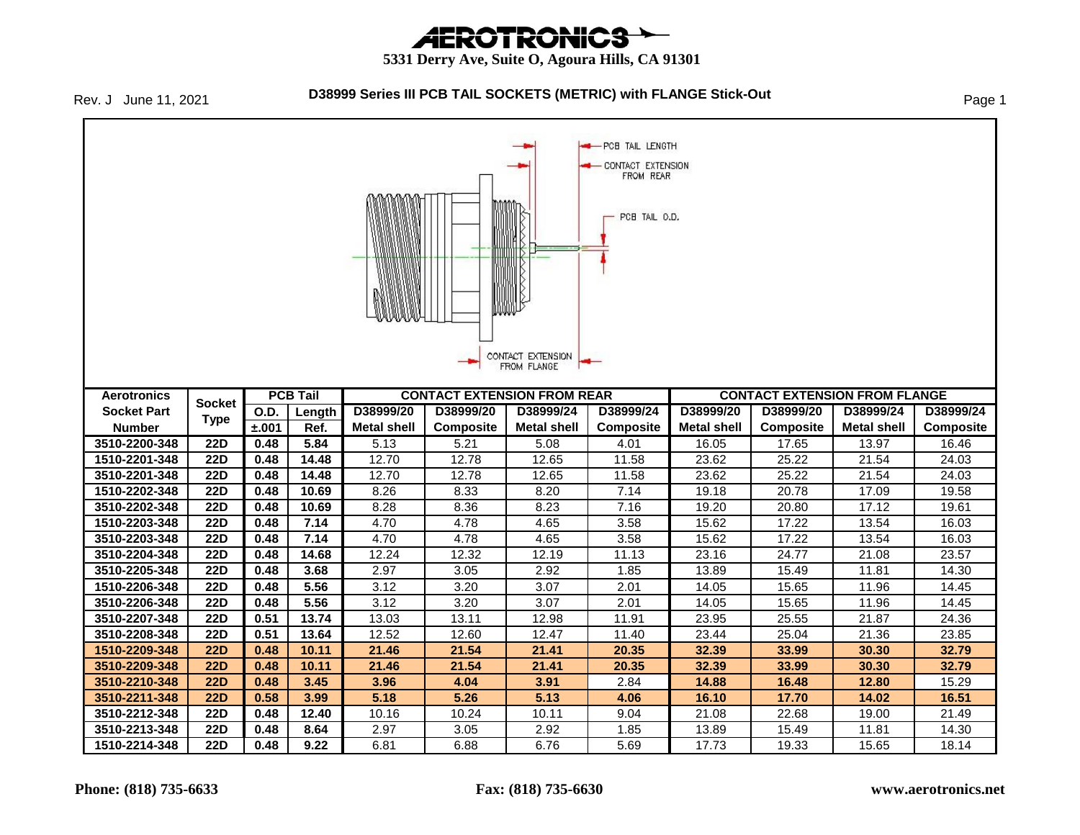# *AEROTRONICS*

#### **5331 Derry Ave, Suite O, Agoura Hills, CA 91301**

Rev. J June 11, 2021

#### **D38999 Series III PCB TAIL SOCKETS (METRIC) with FLANGE Stick-Out** Page 1

PCB TAIL LENGTH **CONTACT EXTENSION** FROM REAR PCB TAIL O.D. CONTACT EXTENSION FROM FLANGE **PCB Tail CONTACT EXTENSION FROM REAR CONTACT EXTENSION FROM FLANGE Aerotronics Socket Socket Part O.D. Length D38999/20 D38999/20 D38999/24 D38999/24 D38999/20 D38999/20 D38999/24 D38999/24 Type Number ±.001 Ref. Metal shell Composite Metal shell Composite Metal shell Composite Metal shell Composite 3510-2200-348 | 22D | 0.48 | 5.84 | 5.13 | 5.21 | 5.08 | 4.01 | 16.05 | 17.65 | 13.97 | 16.46 1510-2201-348 22D 0.48 14.48** 12.70 12.78 12.65 11.58 23.62 25.22 21.54 24.03 **3510-2201-348 22D 0.48 14.48** 12.70 12.78 12.65 11.58 23.62 25.22 21.54 24.03 **1510-2202-348 22D 0.48 10.69** 8.26 8.33 8.20 7.14 19.18 20.78 17.09 19.58 **3510-2202-348 22D 0.48 10.69** 8.28 8.36 8.23 7.16 19.20 20.80 17.12 19.61 **1510-2203-348 22D 0.48 7.14** 4.70 4.78 4.65 3.58 15.62 17.22 13.54 16.03 **3510-2203-348 22D 0.48 7.14** 4.70 4.78 4.65 3.58 15.62 17.22 13.54 16.03 **3510-2204-348 22D 0.48 14.68** 12.24 12.32 12.19 11.13 23.16 24.77 21.08 23.57 **3510-2205-348 22D 0.48 3.68** 2.97 3.05 2.92 1.85 13.89 15.49 11.81 14.30 **1510-2206-348 22D 0.48 5.56** 3.12 3.20 3.07 2.01 14.05 15.65 11.96 14.45 **3510-2206-348 22D 0.48 5.56** 3.12 3.20 3.07 2.01 14.05 15.65 11.96 14.45 **3510-2207-348 22D 0.51 13.74** 13.03 13.11 12.98 11.91 23.95 25.55 21.87 24.36 **3510-2208-348 22D 0.51 13.64** 12.52 12.60 12.47 11.40 23.44 25.04 21.36 23.85 **1510-2209-348 22D 0.48 10.11 21.46 21.54 21.41 20.35 32.39 33.99 30.30 32.79 3510-2209-348 22D 0.48 10.11 21.46 21.54 21.41 20.35 32.39 33.99 30.30 32.79 3510-2210-348 22D 0.48 3.45 3.96 4.04 3.91** 2.84 **14.88 16.48 12.80** 15.29 **3510-2211-348 22D 0.58 3.99 5.18 5.26 5.13 4.06 16.10 17.70 14.02 16.51 3510-2212-348 22D 0.48 12.40** 10.16 10.24 10.11 9.04 21.08 22.68 19.00 21.49 **3510-2213-348 22D 0.48 8.64** 2.97 3.05 2.92 1.85 13.89 15.49 11.81 14.30 **1510-2214-348 | 22D | 0.48 | 9.22 | 6.81 | 6.88 | 6.76 | 5.69 | 17.73 | 19.33 | 15.65 | 18.14**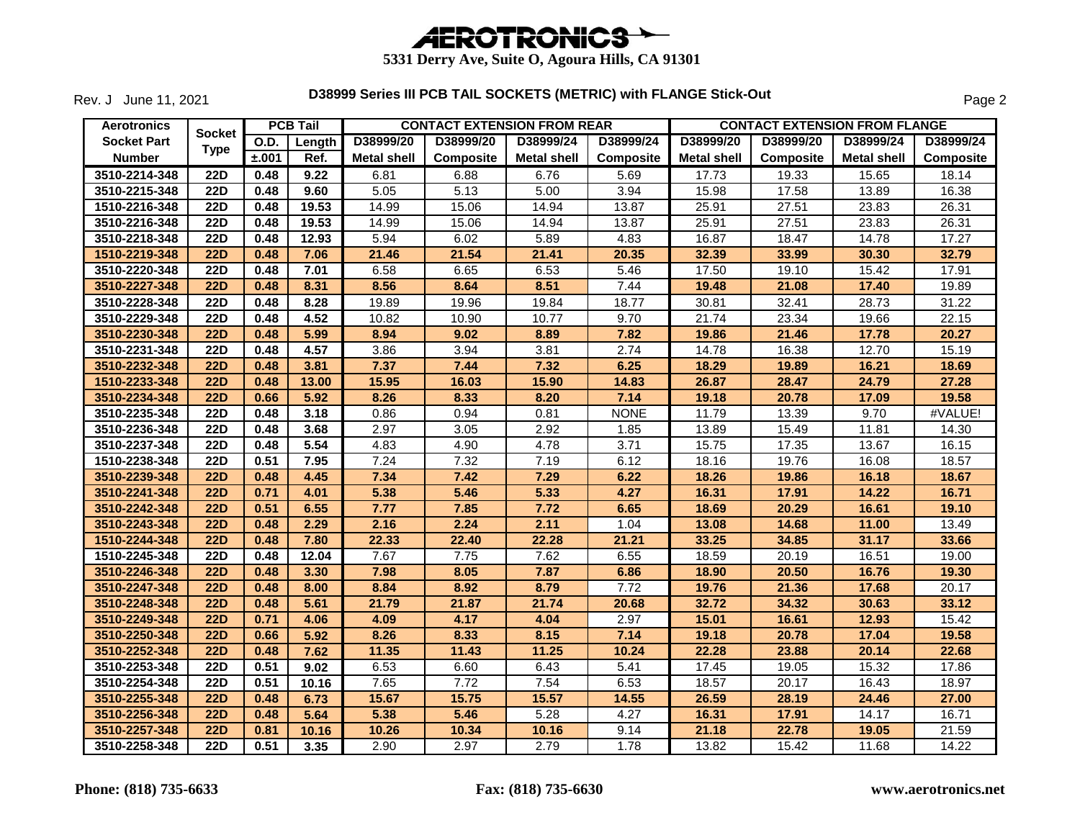

Rev. J June 11, 2021

| <b>Aerotronics</b> |                  |             | <b>PCB Tail</b> |                    |                  | <b>CONTACT EXTENSION FROM REAR</b> |                  |                    | <b>CONTACT EXTENSION FROM FLANGE</b> |                    |                  |
|--------------------|------------------|-------------|-----------------|--------------------|------------------|------------------------------------|------------------|--------------------|--------------------------------------|--------------------|------------------|
| <b>Socket Part</b> | <b>Socket</b>    | <b>O.D.</b> | Length          | D38999/20          | D38999/20        | D38999/24                          | D38999/24        | D38999/20          | D38999/20                            | D38999/24          | D38999/24        |
| <b>Number</b>      | <b>Type</b>      | ±.001       | Ref.            | <b>Metal shell</b> | <b>Composite</b> | <b>Metal shell</b>                 | <b>Composite</b> | <b>Metal shell</b> | <b>Composite</b>                     | <b>Metal shell</b> | <b>Composite</b> |
| 3510-2214-348      | <b>22D</b>       | 0.48        | 9.22            | 6.81               | 6.88             | 6.76                               | 5.69             | 17.73              | 19.33                                | 15.65              | 18.14            |
| 3510-2215-348      | <b>22D</b>       | 0.48        | 9.60            | 5.05               | 5.13             | 5.00                               | 3.94             | 15.98              | 17.58                                | 13.89              | 16.38            |
| 1510-2216-348      | <b>22D</b>       | 0.48        | 19.53           | 14.99              | 15.06            | 14.94                              | 13.87            | 25.91              | 27.51                                | 23.83              | 26.31            |
| 3510-2216-348      | <b>22D</b>       | 0.48        | 19.53           | 14.99              | 15.06            | 14.94                              | 13.87            | 25.91              | 27.51                                | 23.83              | 26.31            |
| 3510-2218-348      | <b>22D</b>       | 0.48        | 12.93           | 5.94               | 6.02             | 5.89                               | 4.83             | 16.87              | 18.47                                | 14.78              | 17.27            |
| 1510-2219-348      | <b>22D</b>       | 0.48        | 7.06            | 21.46              | 21.54            | 21.41                              | 20.35            | 32.39              | 33.99                                | 30.30              | 32.79            |
| 3510-2220-348      | <b>22D</b>       | 0.48        | 7.01            | 6.58               | 6.65             | 6.53                               | 5.46             | 17.50              | 19.10                                | 15.42              | 17.91            |
| 3510-2227-348      | <b>22D</b>       | 0.48        | 8.31            | 8.56               | 8.64             | 8.51                               | 7.44             | 19.48              | 21.08                                | 17.40              | 19.89            |
| 3510-2228-348      | <b>22D</b>       | 0.48        | 8.28            | 19.89              | 19.96            | 19.84                              | 18.77            | 30.81              | 32.41                                | 28.73              | 31.22            |
| 3510-2229-348      | <b>22D</b>       | 0.48        | 4.52            | 10.82              | 10.90            | 10.77                              | 9.70             | 21.74              | 23.34                                | 19.66              | 22.15            |
| 3510-2230-348      | <b>22D</b>       | 0.48        | 5.99            | 8.94               | 9.02             | 8.89                               | 7.82             | 19.86              | 21.46                                | 17.78              | 20.27            |
| 3510-2231-348      | <b>22D</b>       | 0.48        | 4.57            | 3.86               | 3.94             | 3.81                               | 2.74             | 14.78              | 16.38                                | 12.70              | 15.19            |
| 3510-2232-348      | <b>22D</b>       | 0.48        | 3.81            | 7.37               | 7.44             | 7.32                               | 6.25             | 18.29              | 19.89                                | 16.21              | 18.69            |
| 1510-2233-348      | <b>22D</b>       | 0.48        | 13.00           | 15.95              | 16.03            | 15.90                              | 14.83            | 26.87              | 28.47                                | 24.79              | 27.28            |
| 3510-2234-348      | <b>22D</b>       | 0.66        | 5.92            | 8.26               | 8.33             | 8.20                               | 7.14             | 19.18              | 20.78                                | 17.09              | 19.58            |
| 3510-2235-348      | <b>22D</b>       | 0.48        | 3.18            | 0.86               | 0.94             | 0.81                               | <b>NONE</b>      | 11.79              | 13.39                                | 9.70               | #VALUE!          |
| 3510-2236-348      | <b>22D</b>       | 0.48        | 3.68            | 2.97               | 3.05             | 2.92                               | 1.85             | 13.89              | 15.49                                | 11.81              | 14.30            |
| 3510-2237-348      | <b>22D</b>       | 0.48        | 5.54            | 4.83               | 4.90             | 4.78                               | 3.71             | 15.75              | 17.35                                | 13.67              | 16.15            |
| 1510-2238-348      | $\overline{22D}$ | 0.51        | 7.95            | 7.24               | 7.32             | 7.19                               | 6.12             | 18.16              | 19.76                                | 16.08              | 18.57            |
| 3510-2239-348      | <b>22D</b>       | 0.48        | 4.45            | 7.34               | 7.42             | 7.29                               | 6.22             | 18.26              | 19.86                                | 16.18              | 18.67            |
| 3510-2241-348      | <b>22D</b>       | 0.71        | 4.01            | 5.38               | 5.46             | 5.33                               | 4.27             | 16.31              | 17.91                                | 14.22              | 16.71            |
| 3510-2242-348      | <b>22D</b>       | 0.51        | 6.55            | 7.77               | 7.85             | 7.72                               | 6.65             | 18.69              | 20.29                                | 16.61              | 19.10            |
| 3510-2243-348      | <b>22D</b>       | 0.48        | 2.29            | 2.16               | 2.24             | 2.11                               | 1.04             | 13.08              | 14.68                                | 11.00              | 13.49            |
| 1510-2244-348      | <b>22D</b>       | 0.48        | 7.80            | 22.33              | 22.40            | 22.28                              | 21.21            | 33.25              | 34.85                                | 31.17              | 33.66            |
| 1510-2245-348      | <b>22D</b>       | 0.48        | 12.04           | 7.67               | 7.75             | 7.62                               | 6.55             | 18.59              | 20.19                                | 16.51              | 19.00            |
| 3510-2246-348      | <b>22D</b>       | 0.48        | 3.30            | 7.98               | 8.05             | 7.87                               | 6.86             | 18.90              | 20.50                                | 16.76              | 19.30            |
| 3510-2247-348      | <b>22D</b>       | 0.48        | 8.00            | 8.84               | 8.92             | 8.79                               | 7.72             | 19.76              | 21.36                                | 17.68              | 20.17            |
| 3510-2248-348      | <b>22D</b>       | 0.48        | 5.61            | 21.79              | 21.87            | 21.74                              | 20.68            | 32.72              | 34.32                                | 30.63              | 33.12            |
| 3510-2249-348      | <b>22D</b>       | 0.71        | 4.06            | 4.09               | 4.17             | 4.04                               | 2.97             | 15.01              | 16.61                                | 12.93              | 15.42            |
| 3510-2250-348      | <b>22D</b>       | 0.66        | 5.92            | 8.26               | 8.33             | 8.15                               | 7.14             | 19.18              | 20.78                                | 17.04              | 19.58            |
| 3510-2252-348      | <b>22D</b>       | 0.48        | 7.62            | 11.35              | 11.43            | 11.25                              | 10.24            | 22.28              | 23.88                                | 20.14              | 22.68            |
| 3510-2253-348      | $\overline{22D}$ | 0.51        | 9.02            | 6.53               | 6.60             | 6.43                               | 5.41             | 17.45              | 19.05                                | 15.32              | 17.86            |
| 3510-2254-348      | <b>22D</b>       | 0.51        | 10.16           | 7.65               | 7.72             | 7.54                               | 6.53             | 18.57              | 20.17                                | 16.43              | 18.97            |
| 3510-2255-348      | <b>22D</b>       | 0.48        | 6.73            | 15.67              | 15.75            | 15.57                              | 14.55            | 26.59              | 28.19                                | 24.46              | 27.00            |
| 3510-2256-348      | <b>22D</b>       | 0.48        | 5.64            | 5.38               | 5.46             | 5.28                               | 4.27             | 16.31              | 17.91                                | 14.17              | 16.71            |
| 3510-2257-348      | 22D              | 0.81        | 10.16           | 10.26              | 10.34            | 10.16                              | 9.14             | 21.18              | 22.78                                | 19.05              | 21.59            |
| 3510-2258-348      | <b>22D</b>       | 0.51        | 3.35            | 2.90               | 2.97             | 2.79                               | 1.78             | 13.82              | 15.42                                | 11.68              | 14.22            |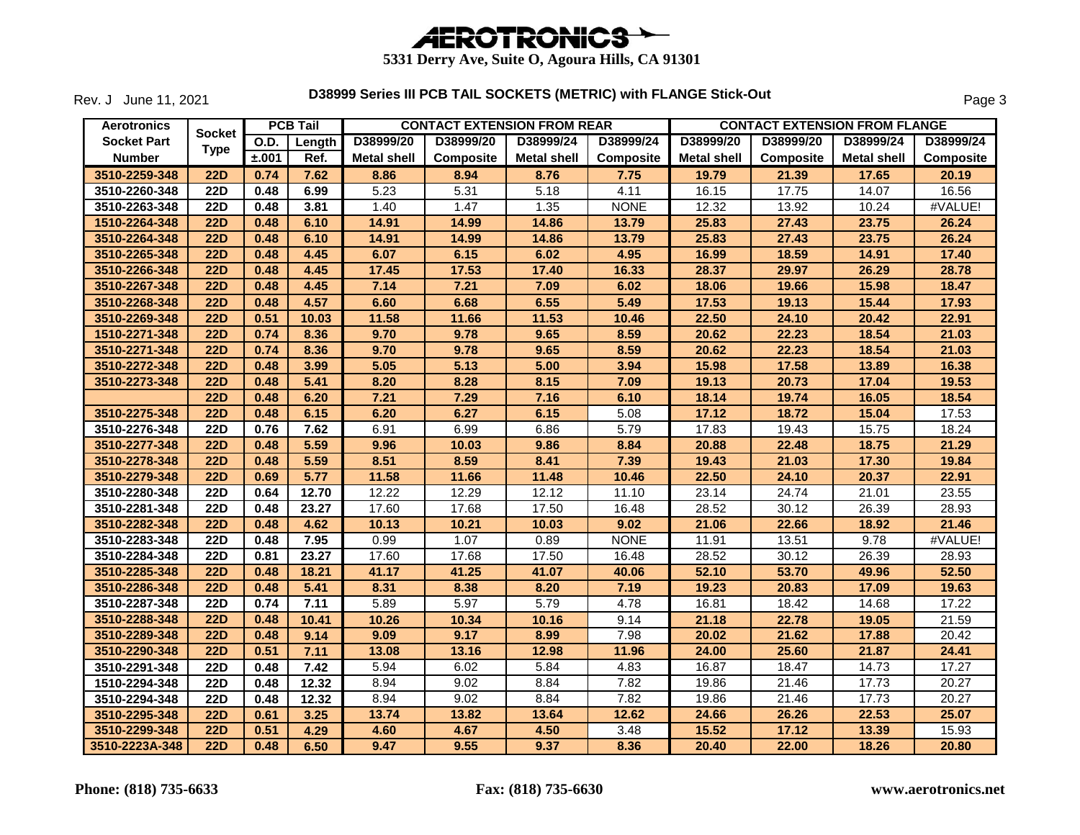

Rev. J June 11, 2021

| <b>Aerotronics</b> |                  |       | <b>PCB Tail</b> |                    |                  | <b>CONTACT EXTENSION FROM REAR</b> |                  |                    | <b>CONTACT EXTENSION FROM FLANGE</b> |                    |                  |
|--------------------|------------------|-------|-----------------|--------------------|------------------|------------------------------------|------------------|--------------------|--------------------------------------|--------------------|------------------|
| <b>Socket Part</b> | <b>Socket</b>    | O.D.  | Length          | D38999/20          | D38999/20        | D38999/24                          | D38999/24        | D38999/20          | D38999/20                            | D38999/24          | D38999/24        |
| <b>Number</b>      | <b>Type</b>      | ±.001 | Ref.            | <b>Metal shell</b> | <b>Composite</b> | <b>Metal shell</b>                 | <b>Composite</b> | <b>Metal shell</b> | <b>Composite</b>                     | <b>Metal shell</b> | <b>Composite</b> |
| 3510-2259-348      | <b>22D</b>       | 0.74  | 7.62            | 8.86               | 8.94             | 8.76                               | 7.75             | 19.79              | 21.39                                | 17.65              | 20.19            |
| 3510-2260-348      | <b>22D</b>       | 0.48  | 6.99            | 5.23               | 5.31             | 5.18                               | 4.11             | 16.15              | 17.75                                | 14.07              | 16.56            |
| 3510-2263-348      | <b>22D</b>       | 0.48  | 3.81            | 1.40               | 1.47             | 1.35                               | <b>NONE</b>      | 12.32              | 13.92                                | 10.24              | #VALUE!          |
| 1510-2264-348      | <b>22D</b>       | 0.48  | 6.10            | 14.91              | 14.99            | 14.86                              | 13.79            | 25.83              | 27.43                                | 23.75              | 26.24            |
| 3510-2264-348      | <b>22D</b>       | 0.48  | 6.10            | 14.91              | 14.99            | 14.86                              | 13.79            | 25.83              | 27.43                                | 23.75              | 26.24            |
| 3510-2265-348      | <b>22D</b>       | 0.48  | 4.45            | 6.07               | 6.15             | 6.02                               | 4.95             | 16.99              | 18.59                                | 14.91              | 17.40            |
| 3510-2266-348      | <b>22D</b>       | 0.48  | 4.45            | 17.45              | 17.53            | 17.40                              | 16.33            | 28.37              | 29.97                                | 26.29              | 28.78            |
| 3510-2267-348      | <b>22D</b>       | 0.48  | 4.45            | 7.14               | 7.21             | 7.09                               | 6.02             | 18.06              | 19.66                                | 15.98              | 18.47            |
| 3510-2268-348      | <b>22D</b>       | 0.48  | 4.57            | 6.60               | 6.68             | 6.55                               | 5.49             | 17.53              | 19.13                                | 15.44              | 17.93            |
| 3510-2269-348      | <b>22D</b>       | 0.51  | 10.03           | 11.58              | 11.66            | 11.53                              | 10.46            | 22.50              | 24.10                                | 20.42              | 22.91            |
| 1510-2271-348      | <b>22D</b>       | 0.74  | 8.36            | 9.70               | 9.78             | 9.65                               | 8.59             | 20.62              | 22.23                                | 18.54              | 21.03            |
| 3510-2271-348      | <b>22D</b>       | 0.74  | 8.36            | 9.70               | 9.78             | 9.65                               | 8.59             | 20.62              | 22.23                                | 18.54              | 21.03            |
| 3510-2272-348      | <b>22D</b>       | 0.48  | 3.99            | 5.05               | 5.13             | 5.00                               | 3.94             | 15.98              | 17.58                                | 13.89              | 16.38            |
| 3510-2273-348      | <b>22D</b>       | 0.48  | 5.41            | 8.20               | 8.28             | 8.15                               | 7.09             | 19.13              | 20.73                                | 17.04              | 19.53            |
|                    | <b>22D</b>       | 0.48  | 6.20            | 7.21               | 7.29             | 7.16                               | 6.10             | 18.14              | 19.74                                | 16.05              | 18.54            |
| 3510-2275-348      | <b>22D</b>       | 0.48  | 6.15            | 6.20               | 6.27             | 6.15                               | 5.08             | 17.12              | 18.72                                | 15.04              | 17.53            |
| 3510-2276-348      | $\overline{22D}$ | 0.76  | 7.62            | 6.91               | 6.99             | 6.86                               | 5.79             | 17.83              | 19.43                                | 15.75              | 18.24            |
| 3510-2277-348      | <b>22D</b>       | 0.48  | 5.59            | 9.96               | 10.03            | 9.86                               | 8.84             | 20.88              | 22.48                                | 18.75              | 21.29            |
| 3510-2278-348      | 22D              | 0.48  | 5.59            | 8.51               | 8.59             | 8.41                               | 7.39             | 19.43              | 21.03                                | 17.30              | 19.84            |
| 3510-2279-348      | <b>22D</b>       | 0.69  | 5.77            | 11.58              | 11.66            | 11.48                              | 10.46            | 22.50              | 24.10                                | 20.37              | 22.91            |
| 3510-2280-348      | <b>22D</b>       | 0.64  | 12.70           | 12.22              | 12.29            | 12.12                              | 11.10            | 23.14              | 24.74                                | 21.01              | 23.55            |
| 3510-2281-348      | <b>22D</b>       | 0.48  | 23.27           | 17.60              | 17.68            | 17.50                              | 16.48            | 28.52              | 30.12                                | 26.39              | 28.93            |
| 3510-2282-348      | <b>22D</b>       | 0.48  | 4.62            | 10.13              | 10.21            | 10.03                              | 9.02             | 21.06              | 22.66                                | 18.92              | 21.46            |
| 3510-2283-348      | <b>22D</b>       | 0.48  | 7.95            | 0.99               | 1.07             | 0.89                               | <b>NONE</b>      | 11.91              | 13.51                                | 9.78               | #VALUE!          |
| 3510-2284-348      | 22D              | 0.81  | 23.27           | 17.60              | 17.68            | 17.50                              | 16.48            | 28.52              | 30.12                                | 26.39              | 28.93            |
| 3510-2285-348      | <b>22D</b>       | 0.48  | 18.21           | 41.17              | 41.25            | 41.07                              | 40.06            | 52.10              | 53.70                                | 49.96              | 52.50            |
| 3510-2286-348      | <b>22D</b>       | 0.48  | 5.41            | 8.31               | 8.38             | 8.20                               | 7.19             | 19.23              | 20.83                                | 17.09              | 19.63            |
| 3510-2287-348      | <b>22D</b>       | 0.74  | 7.11            | 5.89               | 5.97             | 5.79                               | 4.78             | 16.81              | 18.42                                | 14.68              | 17.22            |
| 3510-2288-348      | <b>22D</b>       | 0.48  | 10.41           | 10.26              | 10.34            | 10.16                              | 9.14             | 21.18              | 22.78                                | 19.05              | 21.59            |
| 3510-2289-348      | <b>22D</b>       | 0.48  | 9.14            | 9.09               | 9.17             | 8.99                               | 7.98             | 20.02              | 21.62                                | 17.88              | 20.42            |
| 3510-2290-348      | <b>22D</b>       | 0.51  | 7.11            | 13.08              | 13.16            | 12.98                              | 11.96            | 24.00              | 25.60                                | 21.87              | 24.41            |
| 3510-2291-348      | <b>22D</b>       | 0.48  | 7.42            | 5.94               | 6.02             | 5.84                               | 4.83             | 16.87              | 18.47                                | 14.73              | 17.27            |
| 1510-2294-348      | <b>22D</b>       | 0.48  | 12.32           | 8.94               | 9.02             | 8.84                               | 7.82             | 19.86              | 21.46                                | 17.73              | 20.27            |
| 3510-2294-348      | 22D              | 0.48  | 12.32           | 8.94               | 9.02             | 8.84                               | 7.82             | 19.86              | $\overline{2}1.46$                   | 17.73              | 20.27            |
| 3510-2295-348      | <b>22D</b>       | 0.61  | 3.25            | 13.74              | 13.82            | 13.64                              | 12.62            | 24.66              | 26.26                                | 22.53              | 25.07            |
| 3510-2299-348      | <b>22D</b>       | 0.51  | 4.29            | 4.60               | 4.67             | 4.50                               | 3.48             | 15.52              | 17.12                                | 13.39              | 15.93            |
| 3510-2223A-348     | 22D              | 0.48  | 6.50            | 9.47               | 9.55             | 9.37                               | 8.36             | 20.40              | 22.00                                | 18.26              | 20.80            |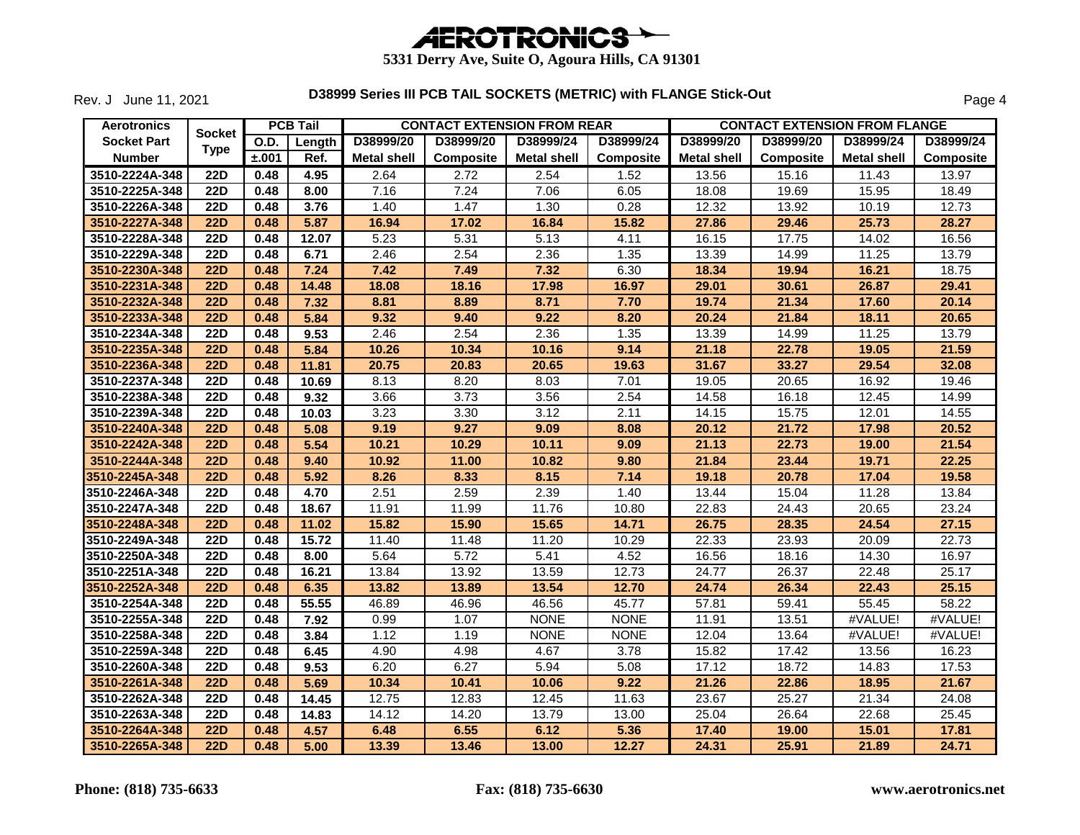

Rev. J June 11, 2021

| <b>Aerotronics</b> |                  |       | <b>PCB Tail</b> |                    |                  | <b>CONTACT EXTENSION FROM REAR</b> |                  |                    | <b>CONTACT EXTENSION FROM FLANGE</b> |                    |                  |
|--------------------|------------------|-------|-----------------|--------------------|------------------|------------------------------------|------------------|--------------------|--------------------------------------|--------------------|------------------|
| <b>Socket Part</b> | <b>Socket</b>    | O.D.  | Length          | D38999/20          | D38999/20        | D38999/24                          | D38999/24        | D38999/20          | D38999/20                            | D38999/24          | D38999/24        |
| <b>Number</b>      | <b>Type</b>      | ±.001 | Ref.            | <b>Metal shell</b> | <b>Composite</b> | <b>Metal shell</b>                 | <b>Composite</b> | <b>Metal shell</b> | <b>Composite</b>                     | <b>Metal shell</b> | <b>Composite</b> |
| 3510-2224A-348     | <b>22D</b>       | 0.48  | 4.95            | 2.64               | 2.72             | 2.54                               | 1.52             | 13.56              | 15.16                                | 11.43              | 13.97            |
| 3510-2225A-348     | <b>22D</b>       | 0.48  | 8.00            | 7.16               | 7.24             | 7.06                               | 6.05             | 18.08              | 19.69                                | 15.95              | 18.49            |
| 3510-2226A-348     | <b>22D</b>       | 0.48  | 3.76            | 1.40               | 1.47             | 1.30                               | 0.28             | 12.32              | 13.92                                | 10.19              | 12.73            |
| 3510-2227A-348     | <b>22D</b>       | 0.48  | 5.87            | 16.94              | 17.02            | 16.84                              | 15.82            | 27.86              | 29.46                                | 25.73              | 28.27            |
| 3510-2228A-348     | $\overline{22D}$ | 0.48  | 12.07           | 5.23               | 5.31             | 5.13                               | 4.11             | 16.15              | 17.75                                | 14.02              | 16.56            |
| 3510-2229A-348     | <b>22D</b>       | 0.48  | 6.71            | 2.46               | 2.54             | 2.36                               | 1.35             | 13.39              | 14.99                                | 11.25              | 13.79            |
| 3510-2230A-348     | <b>22D</b>       | 0.48  | 7.24            | 7.42               | 7.49             | 7.32                               | 6.30             | 18.34              | 19.94                                | 16.21              | 18.75            |
| 3510-2231A-348     | <b>22D</b>       | 0.48  | 14.48           | 18.08              | 18.16            | 17.98                              | 16.97            | 29.01              | 30.61                                | 26.87              | 29.41            |
| 3510-2232A-348     | <b>22D</b>       | 0.48  | 7.32            | 8.81               | 8.89             | 8.71                               | 7.70             | 19.74              | 21.34                                | 17.60              | 20.14            |
| 3510-2233A-348     | 22D              | 0.48  | 5.84            | 9.32               | 9.40             | 9.22                               | 8.20             | 20.24              | 21.84                                | 18.11              | 20.65            |
| 3510-2234A-348     | <b>22D</b>       | 0.48  | 9.53            | 2.46               | 2.54             | 2.36                               | 1.35             | 13.39              | 14.99                                | 11.25              | 13.79            |
| 3510-2235A-348     | <b>22D</b>       | 0.48  | 5.84            | 10.26              | 10.34            | 10.16                              | 9.14             | 21.18              | 22.78                                | 19.05              | 21.59            |
| 3510-2236A-348     | <b>22D</b>       | 0.48  | 11.81           | 20.75              | 20.83            | 20.65                              | 19.63            | 31.67              | 33.27                                | 29.54              | 32.08            |
| 3510-2237A-348     | 22D              | 0.48  | 10.69           | 8.13               | 8.20             | 8.03                               | 7.01             | 19.05              | 20.65                                | 16.92              | 19.46            |
| 3510-2238A-348     | <b>22D</b>       | 0.48  | 9.32            | 3.66               | 3.73             | 3.56                               | 2.54             | 14.58              | 16.18                                | 12.45              | 14.99            |
| 3510-2239A-348     | <b>22D</b>       | 0.48  | 10.03           | 3.23               | 3.30             | 3.12                               | 2.11             | 14.15              | 15.75                                | 12.01              | 14.55            |
| 3510-2240A-348     | 22D              | 0.48  | 5.08            | 9.19               | 9.27             | 9.09                               | 8.08             | 20.12              | 21.72                                | 17.98              | 20.52            |
| 3510-2242A-348     | <b>22D</b>       | 0.48  | 5.54            | 10.21              | 10.29            | 10.11                              | 9.09             | 21.13              | 22.73                                | 19.00              | 21.54            |
| 3510-2244A-348     | 22D              | 0.48  | 9.40            | 10.92              | 11.00            | 10.82                              | 9.80             | 21.84              | 23.44                                | 19.71              | 22.25            |
| 3510-2245A-348     | <b>22D</b>       | 0.48  | 5.92            | 8.26               | 8.33             | 8.15                               | 7.14             | 19.18              | 20.78                                | 17.04              | 19.58            |
| 3510-2246A-348     | <b>22D</b>       | 0.48  | 4.70            | 2.51               | 2.59             | 2.39                               | 1.40             | 13.44              | 15.04                                | 11.28              | 13.84            |
| 3510-2247A-348     | <b>22D</b>       | 0.48  | 18.67           | 11.91              | 11.99            | 11.76                              | 10.80            | 22.83              | 24.43                                | 20.65              | 23.24            |
| 3510-2248A-348     | <b>22D</b>       | 0.48  | 11.02           | 15.82              | 15.90            | 15.65                              | 14.71            | 26.75              | 28.35                                | 24.54              | 27.15            |
| 3510-2249A-348     | <b>22D</b>       | 0.48  | 15.72           | 11.40              | 11.48            | 11.20                              | 10.29            | 22.33              | 23.93                                | 20.09              | 22.73            |
| 3510-2250A-348     | <b>22D</b>       | 0.48  | 8.00            | 5.64               | 5.72             | 5.41                               | 4.52             | 16.56              | 18.16                                | 14.30              | 16.97            |
| 3510-2251A-348     | <b>22D</b>       | 0.48  | 16.21           | 13.84              | 13.92            | 13.59                              | 12.73            | 24.77              | 26.37                                | 22.48              | 25.17            |
| 3510-2252A-348     | <b>22D</b>       | 0.48  | 6.35            | 13.82              | 13.89            | 13.54                              | 12.70            | 24.74              | 26.34                                | 22.43              | 25.15            |
| 3510-2254A-348     | <b>22D</b>       | 0.48  | 55.55           | 46.89              | 46.96            | 46.56                              | 45.77            | 57.81              | 59.41                                | 55.45              | 58.22            |
| 3510-2255A-348     | <b>22D</b>       | 0.48  | 7.92            | 0.99               | 1.07             | <b>NONE</b>                        | <b>NONE</b>      | 11.91              | 13.51                                | #VALUE!            | #VALUE!          |
| 3510-2258A-348     | <b>22D</b>       | 0.48  | 3.84            | 1.12               | 1.19             | <b>NONE</b>                        | <b>NONE</b>      | 12.04              | 13.64                                | #VALUE!            | #VALUE!          |
| 3510-2259A-348     | $\overline{22D}$ | 0.48  | 6.45            | 4.90               | 4.98             | 4.67                               | 3.78             | 15.82              | 17.42                                | 13.56              | 16.23            |
| 3510-2260A-348     | <b>22D</b>       | 0.48  | 9.53            | 6.20               | 6.27             | 5.94                               | 5.08             | 17.12              | 18.72                                | 14.83              | 17.53            |
| 3510-2261A-348     | <b>22D</b>       | 0.48  | 5.69            | 10.34              | 10.41            | 10.06                              | 9.22             | 21.26              | 22.86                                | 18.95              | 21.67            |
| 3510-2262A-348     | <b>22D</b>       | 0.48  | 14.45           | 12.75              | 12.83            | 12.45                              | 11.63            | 23.67              | 25.27                                | 21.34              | 24.08            |
| 3510-2263A-348     | <b>22D</b>       | 0.48  | 14.83           | 14.12              | 14.20            | 13.79                              | 13.00            | 25.04              | 26.64                                | 22.68              | 25.45            |
| 3510-2264A-348     | <b>22D</b>       | 0.48  | 4.57            | 6.48               | 6.55             | 6.12                               | 5.36             | 17.40              | 19.00                                | 15.01              | 17.81            |
| 3510-2265A-348     | 22D              | 0.48  | 5.00            | 13.39              | 13.46            | 13.00                              | 12.27            | 24.31              | 25.91                                | 21.89              | 24.71            |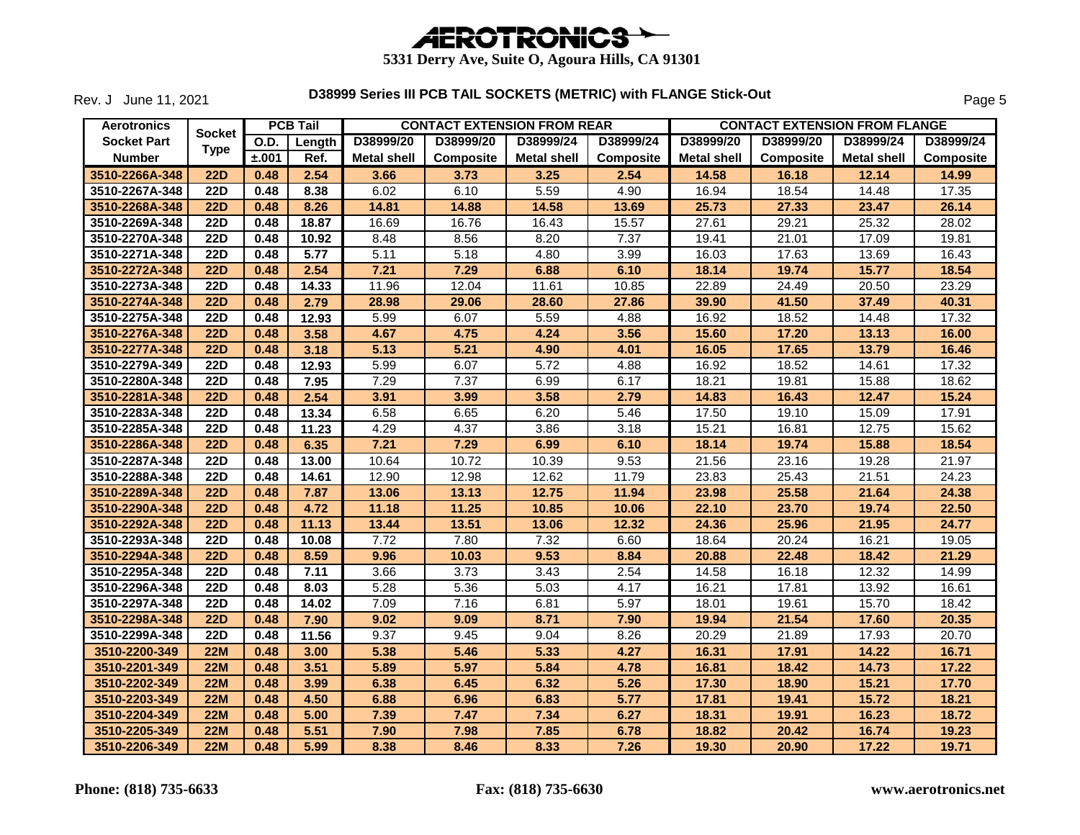

Rev. J June 11, 2021

| <b>Aerotronics</b> | <b>Socket</b>    |       | <b>PCB Tail</b> |                    | <b>CONTACT EXTENSION FROM REAR</b> |                    |                  |                    | <b>CONTACT EXTENSION FROM FLANGE</b> |                    |                  |
|--------------------|------------------|-------|-----------------|--------------------|------------------------------------|--------------------|------------------|--------------------|--------------------------------------|--------------------|------------------|
| <b>Socket Part</b> |                  | O.D.  | Length          | D38999/20          | D38999/20                          | D38999/24          | D38999/24        | D38999/20          | D38999/20                            | D38999/24          | D38999/24        |
| <b>Number</b>      | <b>Type</b>      | ±.001 | Ref.            | <b>Metal shell</b> | <b>Composite</b>                   | <b>Metal shell</b> | <b>Composite</b> | <b>Metal shell</b> | <b>Composite</b>                     | <b>Metal shell</b> | <b>Composite</b> |
| 3510-2266A-348     | <b>22D</b>       | 0.48  | 2.54            | 3.66               | 3.73                               | 3.25               | 2.54             | 14.58              | 16.18                                | 12.14              | 14.99            |
| 3510-2267A-348     | <b>22D</b>       | 0.48  | 8.38            | 6.02               | 6.10                               | 5.59               | 4.90             | 16.94              | 18.54                                | 14.48              | 17.35            |
| 3510-2268A-348     | 22D              | 0.48  | 8.26            | 14.81              | 14.88                              | 14.58              | 13.69            | 25.73              | 27.33                                | 23.47              | 26.14            |
| 3510-2269A-348     | <b>22D</b>       | 0.48  | 18.87           | 16.69              | 16.76                              | 16.43              | 15.57            | 27.61              | 29.21                                | 25.32              | 28.02            |
| 3510-2270A-348     | <b>22D</b>       | 0.48  | 10.92           | 8.48               | 8.56                               | 8.20               | 7.37             | 19.41              | 21.01                                | 17.09              | 19.81            |
| 3510-2271A-348     | <b>22D</b>       | 0.48  | 5.77            | 5.11               | 5.18                               | 4.80               | 3.99             | 16.03              | 17.63                                | 13.69              | 16.43            |
| 3510-2272A-348     | <b>22D</b>       | 0.48  | 2.54            | 7.21               | 7.29                               | 6.88               | 6.10             | 18.14              | 19.74                                | 15.77              | 18.54            |
| 3510-2273A-348     | <b>22D</b>       | 0.48  | 14.33           | 11.96              | 12.04                              | 11.61              | 10.85            | 22.89              | 24.49                                | 20.50              | 23.29            |
| 3510-2274A-348     | <b>22D</b>       | 0.48  | 2.79            | 28.98              | 29.06                              | 28.60              | 27.86            | 39.90              | 41.50                                | 37.49              | 40.31            |
| 3510-2275A-348     | $\overline{22D}$ | 0.48  | 12.93           | 5.99               | 6.07                               | 5.59               | 4.88             | 16.92              | 18.52                                | 14.48              | 17.32            |
| 3510-2276A-348     | <b>22D</b>       | 0.48  | 3.58            | 4.67               | 4.75                               | 4.24               | 3.56             | 15.60              | 17.20                                | 13.13              | 16.00            |
| 3510-2277A-348     | <b>22D</b>       | 0.48  | 3.18            | 5.13               | 5.21                               | 4.90               | 4.01             | 16.05              | 17.65                                | 13.79              | 16.46            |
| 3510-2279A-349     | <b>22D</b>       | 0.48  | 12.93           | 5.99               | 6.07                               | 5.72               | 4.88             | 16.92              | 18.52                                | 14.61              | 17.32            |
| 3510-2280A-348     | 22D              | 0.48  | 7.95            | 7.29               | 7.37                               | 6.99               | 6.17             | 18.21              | 19.81                                | 15.88              | 18.62            |
| 3510-2281A-348     | <b>22D</b>       | 0.48  | 2.54            | 3.91               | 3.99                               | 3.58               | 2.79             | 14.83              | 16.43                                | 12.47              | 15.24            |
| 3510-2283A-348     | <b>22D</b>       | 0.48  | 13.34           | 6.58               | 6.65                               | 6.20               | 5.46             | 17.50              | 19.10                                | 15.09              | 17.91            |
| 3510-2285A-348     | <b>22D</b>       | 0.48  | 11.23           | 4.29               | 4.37                               | 3.86               | 3.18             | 15.21              | 16.81                                | 12.75              | 15.62            |
| 3510-2286A-348     | <b>22D</b>       | 0.48  | 6.35            | 7.21               | 7.29                               | 6.99               | 6.10             | 18.14              | 19.74                                | 15.88              | 18.54            |
| 3510-2287A-348     | $\overline{22D}$ | 0.48  | 13.00           | 10.64              | 10.72                              | 10.39              | 9.53             | 21.56              | 23.16                                | 19.28              | 21.97            |
| 3510-2288A-348     | <b>22D</b>       | 0.48  | 14.61           | 12.90              | 12.98                              | 12.62              | 11.79            | 23.83              | 25.43                                | 21.51              | 24.23            |
| 3510-2289A-348     | <b>22D</b>       | 0.48  | 7.87            | 13.06              | 13.13                              | 12.75              | 11.94            | 23.98              | 25.58                                | 21.64              | 24.38            |
| 3510-2290A-348     | <b>22D</b>       | 0.48  | 4.72            | 11.18              | 11.25                              | 10.85              | 10.06            | 22.10              | 23.70                                | 19.74              | 22.50            |
| 3510-2292A-348     | <b>22D</b>       | 0.48  | 11.13           | 13.44              | 13.51                              | 13.06              | 12.32            | 24.36              | 25.96                                | 21.95              | 24.77            |
| 3510-2293A-348     | <b>22D</b>       | 0.48  | 10.08           | 7.72               | 7.80                               | 7.32               | 6.60             | 18.64              | 20.24                                | 16.21              | 19.05            |
| 3510-2294A-348     | <b>22D</b>       | 0.48  | 8.59            | 9.96               | 10.03                              | 9.53               | 8.84             | 20.88              | 22.48                                | 18.42              | 21.29            |
| 3510-2295A-348     | $\overline{22D}$ | 0.48  | 7.11            | 3.66               | 3.73                               | 3.43               | 2.54             | 14.58              | 16.18                                | 12.32              | 14.99            |
| 3510-2296A-348     | <b>22D</b>       | 0.48  | 8.03            | 5.28               | 5.36                               | 5.03               | 4.17             | 16.21              | 17.81                                | 13.92              | 16.61            |
| 3510-2297A-348     | <b>22D</b>       | 0.48  | 14.02           | 7.09               | 7.16                               | 6.81               | 5.97             | 18.01              | 19.61                                | 15.70              | 18.42            |
| 3510-2298A-348     | <b>22D</b>       | 0.48  | 7.90            | 9.02               | 9.09                               | 8.71               | 7.90             | 19.94              | 21.54                                | 17.60              | 20.35            |
| 3510-2299A-348     | $\overline{22D}$ | 0.48  | 11.56           | 9.37               | 9.45                               | 9.04               | 8.26             | 20.29              | 21.89                                | 17.93              | 20.70            |
| 3510-2200-349      | <b>22M</b>       | 0.48  | 3.00            | 5.38               | 5.46                               | 5.33               | 4.27             | 16.31              | 17.91                                | 14.22              | 16.71            |
| 3510-2201-349      | <b>22M</b>       | 0.48  | 3.51            | 5.89               | 5.97                               | 5.84               | 4.78             | 16.81              | 18.42                                | 14.73              | 17.22            |
| 3510-2202-349      | 22M              | 0.48  | 3.99            | 6.38               | 6.45                               | 6.32               | 5.26             | 17.30              | 18.90                                | 15.21              | 17.70            |
| 3510-2203-349      | <b>22M</b>       | 0.48  | 4.50            | 6.88               | 6.96                               | 6.83               | 5.77             | 17.81              | 19.41                                | 15.72              | 18.21            |
| 3510-2204-349      | <b>22M</b>       | 0.48  | 5.00            | 7.39               | 7.47                               | 7.34               | 6.27             | 18.31              | 19.91                                | 16.23              | 18.72            |
| 3510-2205-349      | <b>22M</b>       | 0.48  | 5.51            | 7.90               | 7.98                               | 7.85               | 6.78             | 18.82              | 20.42                                | 16.74              | 19.23            |
| 3510-2206-349      | 22M              | 0.48  | 5.99            | 8.38               | 8.46                               | 8.33               | 7.26             | 19.30              | 20.90                                | 17.22              | 19.71            |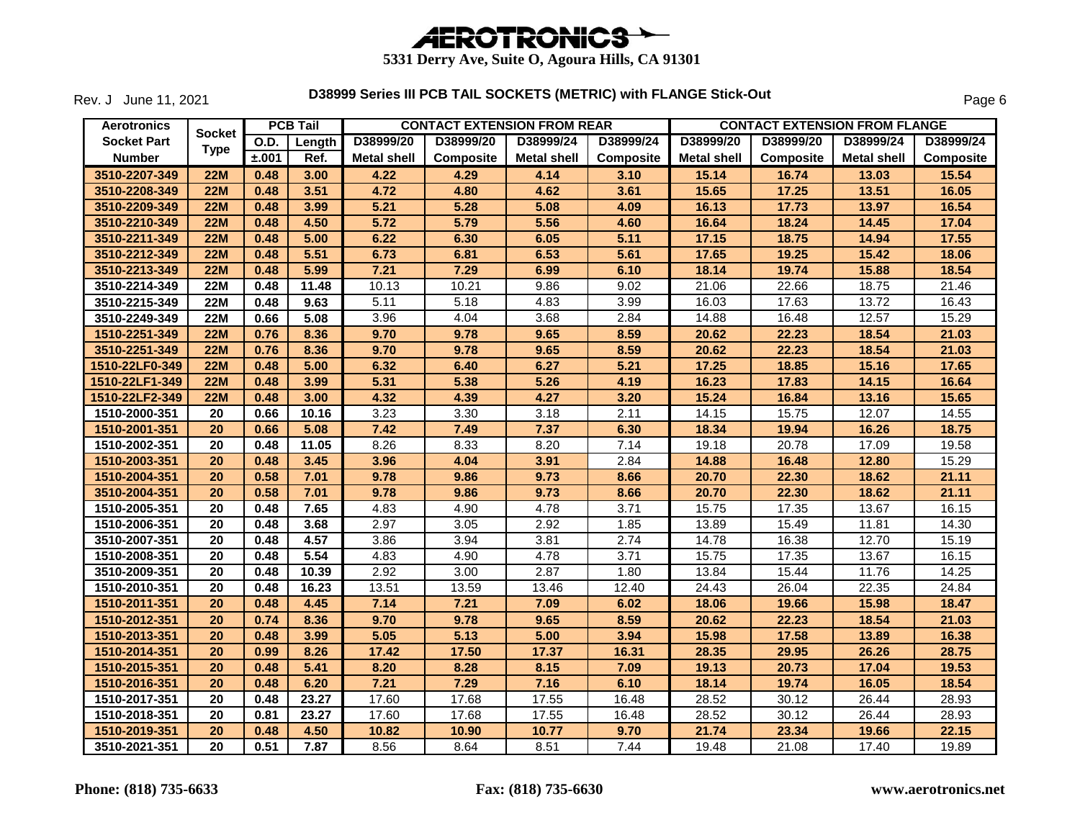

Rev. J June 11, 2021

| <b>Aerotronics</b> |                 |       | <b>PCB Tail</b> |                    |                  | <b>CONTACT EXTENSION FROM REAR</b> |           |                    | <b>CONTACT EXTENSION FROM FLANGE</b> |                    |           |
|--------------------|-----------------|-------|-----------------|--------------------|------------------|------------------------------------|-----------|--------------------|--------------------------------------|--------------------|-----------|
| <b>Socket Part</b> | <b>Socket</b>   | O.D.  | Length          | D38999/20          | D38999/20        | D38999/24                          | D38999/24 | D38999/20          | D38999/20                            | D38999/24          | D38999/24 |
| <b>Number</b>      | <b>Type</b>     | ±.001 | Ref.            | <b>Metal shell</b> | <b>Composite</b> | <b>Metal shell</b>                 | Composite | <b>Metal shell</b> | Composite                            | <b>Metal shell</b> | Composite |
| 3510-2207-349      | <b>22M</b>      | 0.48  | 3.00            | 4.22               | 4.29             | 4.14                               | 3.10      | 15.14              | 16.74                                | 13.03              | 15.54     |
| 3510-2208-349      | 22M             | 0.48  | 3.51            | 4.72               | 4.80             | 4.62                               | 3.61      | 15.65              | 17.25                                | 13.51              | 16.05     |
| 3510-2209-349      | <b>22M</b>      | 0.48  | 3.99            | 5.21               | 5.28             | 5.08                               | 4.09      | 16.13              | 17.73                                | 13.97              | 16.54     |
| 3510-2210-349      | 22M             | 0.48  | 4.50            | 5.72               | 5.79             | 5.56                               | 4.60      | 16.64              | 18.24                                | 14.45              | 17.04     |
| 3510-2211-349      | 22M             | 0.48  | 5.00            | 6.22               | 6.30             | 6.05                               | 5.11      | 17.15              | 18.75                                | 14.94              | 17.55     |
| 3510-2212-349      | <b>22M</b>      | 0.48  | 5.51            | 6.73               | 6.81             | 6.53                               | 5.61      | 17.65              | 19.25                                | 15.42              | 18.06     |
| 3510-2213-349      | <b>22M</b>      | 0.48  | 5.99            | 7.21               | 7.29             | 6.99                               | 6.10      | 18.14              | 19.74                                | 15.88              | 18.54     |
| 3510-2214-349      | <b>22M</b>      | 0.48  | 11.48           | 10.13              | 10.21            | 9.86                               | 9.02      | 21.06              | 22.66                                | 18.75              | 21.46     |
| 3510-2215-349      | <b>22M</b>      | 0.48  | 9.63            | 5.11               | 5.18             | 4.83                               | 3.99      | 16.03              | 17.63                                | 13.72              | 16.43     |
| 3510-2249-349      | <b>22M</b>      | 0.66  | 5.08            | 3.96               | 4.04             | 3.68                               | 2.84      | 14.88              | 16.48                                | 12.57              | 15.29     |
| 1510-2251-349      | 22M             | 0.76  | 8.36            | 9.70               | 9.78             | 9.65                               | 8.59      | 20.62              | 22.23                                | 18.54              | 21.03     |
| 3510-2251-349      | <b>22M</b>      | 0.76  | 8.36            | 9.70               | 9.78             | 9.65                               | 8.59      | 20.62              | 22.23                                | 18.54              | 21.03     |
| 1510-22LF0-349     | <b>22M</b>      | 0.48  | 5.00            | 6.32               | 6.40             | 6.27                               | 5.21      | 17.25              | 18.85                                | 15.16              | 17.65     |
| 1510-22LF1-349     | <b>22M</b>      | 0.48  | 3.99            | 5.31               | 5.38             | 5.26                               | 4.19      | 16.23              | 17.83                                | 14.15              | 16.64     |
| 1510-22LF2-349     | <b>22M</b>      | 0.48  | 3.00            | 4.32               | 4.39             | 4.27                               | 3.20      | 15.24              | 16.84                                | 13.16              | 15.65     |
| 1510-2000-351      | 20              | 0.66  | 10.16           | 3.23               | 3.30             | 3.18                               | 2.11      | 14.15              | 15.75                                | 12.07              | 14.55     |
| 1510-2001-351      | $\overline{20}$ | 0.66  | 5.08            | 7.42               | 7.49             | 7.37                               | 6.30      | 18.34              | 19.94                                | 16.26              | 18.75     |
| 1510-2002-351      | 20              | 0.48  | 11.05           | 8.26               | 8.33             | 8.20                               | 7.14      | 19.18              | 20.78                                | 17.09              | 19.58     |
| 1510-2003-351      | 20              | 0.48  | 3.45            | 3.96               | 4.04             | 3.91                               | 2.84      | 14.88              | 16.48                                | 12.80              | 15.29     |
| 1510-2004-351      | 20              | 0.58  | 7.01            | 9.78               | 9.86             | 9.73                               | 8.66      | 20.70              | 22.30                                | 18.62              | 21.11     |
| 3510-2004-351      | 20              | 0.58  | 7.01            | 9.78               | 9.86             | 9.73                               | 8.66      | 20.70              | 22.30                                | 18.62              | 21.11     |
| 1510-2005-351      | 20              | 0.48  | 7.65            | 4.83               | 4.90             | 4.78                               | 3.71      | 15.75              | 17.35                                | 13.67              | 16.15     |
| 1510-2006-351      | 20              | 0.48  | 3.68            | 2.97               | 3.05             | 2.92                               | 1.85      | 13.89              | 15.49                                | 11.81              | 14.30     |
| 3510-2007-351      | 20              | 0.48  | 4.57            | 3.86               | 3.94             | 3.81                               | 2.74      | 14.78              | 16.38                                | 12.70              | 15.19     |
| 1510-2008-351      | 20              | 0.48  | 5.54            | 4.83               | 4.90             | 4.78                               | 3.71      | 15.75              | 17.35                                | 13.67              | 16.15     |
| 3510-2009-351      | 20              | 0.48  | 10.39           | 2.92               | 3.00             | 2.87                               | 1.80      | 13.84              | 15.44                                | 11.76              | 14.25     |
| 1510-2010-351      | 20              | 0.48  | 16.23           | 13.51              | 13.59            | 13.46                              | 12.40     | 24.43              | 26.04                                | 22.35              | 24.84     |
| 1510-2011-351      | 20              | 0.48  | 4.45            | 7.14               | 7.21             | 7.09                               | 6.02      | 18.06              | 19.66                                | 15.98              | 18.47     |
| 1510-2012-351      | 20              | 0.74  | 8.36            | 9.70               | 9.78             | 9.65                               | 8.59      | 20.62              | 22.23                                | 18.54              | 21.03     |
| 1510-2013-351      | 20              | 0.48  | 3.99            | 5.05               | 5.13             | 5.00                               | 3.94      | 15.98              | 17.58                                | 13.89              | 16.38     |
| 1510-2014-351      | 20              | 0.99  | 8.26            | 17.42              | 17.50            | 17.37                              | 16.31     | 28.35              | 29.95                                | 26.26              | 28.75     |
| 1510-2015-351      | 20              | 0.48  | 5.41            | 8.20               | 8.28             | 8.15                               | 7.09      | 19.13              | 20.73                                | 17.04              | 19.53     |
| 1510-2016-351      | 20              | 0.48  | 6.20            | 7.21               | 7.29             | 7.16                               | 6.10      | 18.14              | 19.74                                | 16.05              | 18.54     |
| 1510-2017-351      | 20              | 0.48  | 23.27           | 17.60              | 17.68            | 17.55                              | 16.48     | 28.52              | 30.12                                | 26.44              | 28.93     |
| 1510-2018-351      | 20              | 0.81  | 23.27           | 17.60              | 17.68            | 17.55                              | 16.48     | 28.52              | 30.12                                | 26.44              | 28.93     |
| 1510-2019-351      | 20              | 0.48  | 4.50            | 10.82              | 10.90            | 10.77                              | 9.70      | 21.74              | 23.34                                | 19.66              | 22.15     |
| 3510-2021-351      | 20              | 0.51  | 7.87            | 8.56               | 8.64             | 8.51                               | 7.44      | 19.48              | 21.08                                | 17.40              | 19.89     |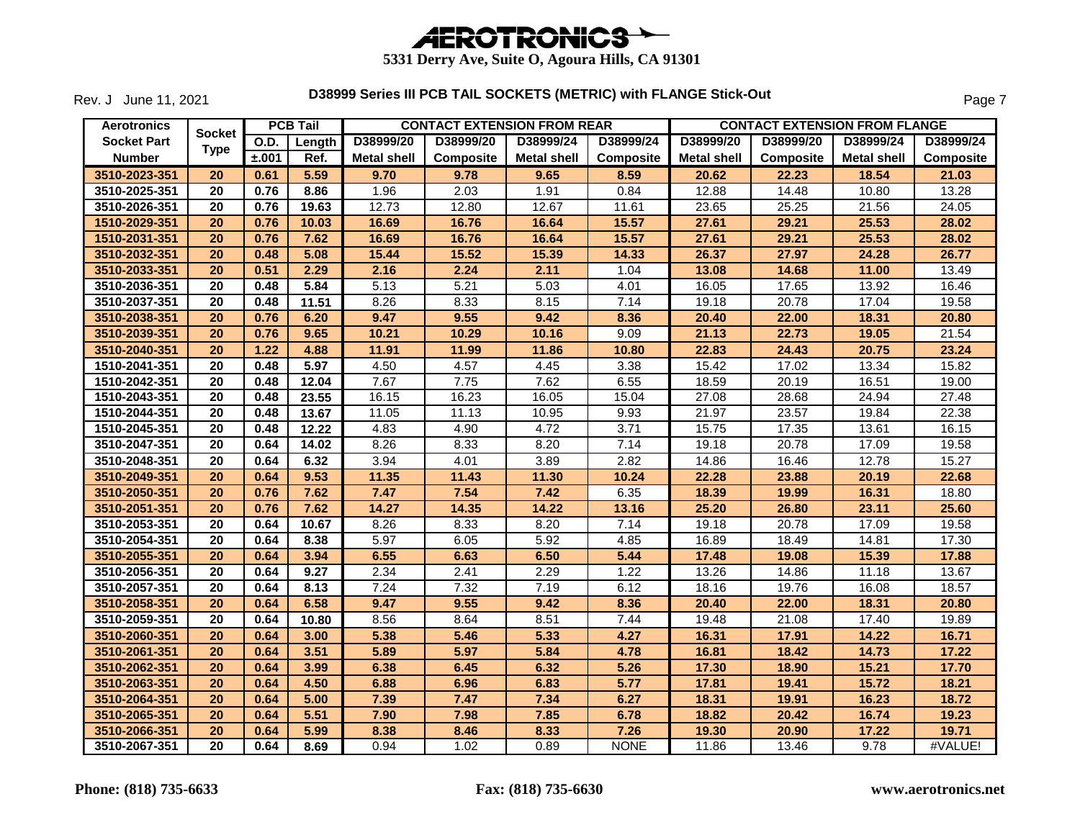

Rev. J June 11, 2021

| <b>Aerotronics</b> |                 |       | <b>PCB Tail</b> |                    |                  | <b>CONTACT EXTENSION FROM REAR</b> |                  |                    | <b>CONTACT EXTENSION FROM FLANGE</b> |                    |                  |
|--------------------|-----------------|-------|-----------------|--------------------|------------------|------------------------------------|------------------|--------------------|--------------------------------------|--------------------|------------------|
| <b>Socket Part</b> | <b>Socket</b>   | O.D.  | Length          | D38999/20          | D38999/20        | D38999/24                          | D38999/24        | D38999/20          | D38999/20                            | D38999/24          | D38999/24        |
| <b>Number</b>      | <b>Type</b>     | ±.001 | Ref.            | <b>Metal shell</b> | <b>Composite</b> | <b>Metal shell</b>                 | <b>Composite</b> | <b>Metal shell</b> | <b>Composite</b>                     | <b>Metal shell</b> | <b>Composite</b> |
| 3510-2023-351      | 20              | 0.61  | 5.59            | 9.70               | 9.78             | 9.65                               | 8.59             | 20.62              | 22.23                                | 18.54              | 21.03            |
| 3510-2025-351      | 20              | 0.76  | 8.86            | 1.96               | 2.03             | 1.91                               | 0.84             | 12.88              | 14.48                                | 10.80              | 13.28            |
| 3510-2026-351      | 20              | 0.76  | 19.63           | 12.73              | 12.80            | 12.67                              | 11.61            | 23.65              | 25.25                                | 21.56              | 24.05            |
| 1510-2029-351      | 20              | 0.76  | 10.03           | 16.69              | 16.76            | 16.64                              | 15.57            | 27.61              | 29.21                                | 25.53              | 28.02            |
| 1510-2031-351      | 20              | 0.76  | 7.62            | 16.69              | 16.76            | 16.64                              | 15.57            | 27.61              | 29.21                                | 25.53              | 28.02            |
| 3510-2032-351      | 20              | 0.48  | 5.08            | 15.44              | 15.52            | 15.39                              | 14.33            | 26.37              | 27.97                                | 24.28              | 26.77            |
| 3510-2033-351      | 20              | 0.51  | 2.29            | 2.16               | 2.24             | 2.11                               | 1.04             | 13.08              | 14.68                                | 11.00              | 13.49            |
| 3510-2036-351      | 20              | 0.48  | 5.84            | 5.13               | 5.21             | 5.03                               | 4.01             | 16.05              | 17.65                                | 13.92              | 16.46            |
| 3510-2037-351      | 20              | 0.48  | 11.51           | 8.26               | 8.33             | 8.15                               | 7.14             | 19.18              | 20.78                                | 17.04              | 19.58            |
| 3510-2038-351      | 20              | 0.76  | 6.20            | 9.47               | 9.55             | 9.42                               | 8.36             | 20.40              | 22.00                                | 18.31              | 20.80            |
| 3510-2039-351      | 20              | 0.76  | 9.65            | 10.21              | 10.29            | 10.16                              | 9.09             | 21.13              | 22.73                                | 19.05              | 21.54            |
| 3510-2040-351      | 20              | 1.22  | 4.88            | 11.91              | 11.99            | 11.86                              | 10.80            | 22.83              | 24.43                                | 20.75              | 23.24            |
| 1510-2041-351      | 20              | 0.48  | 5.97            | 4.50               | 4.57             | 4.45                               | 3.38             | 15.42              | 17.02                                | 13.34              | 15.82            |
| 1510-2042-351      | 20              | 0.48  | 12.04           | 7.67               | 7.75             | 7.62                               | 6.55             | 18.59              | 20.19                                | 16.51              | 19.00            |
| 1510-2043-351      | 20              | 0.48  | 23.55           | 16.15              | 16.23            | 16.05                              | 15.04            | 27.08              | 28.68                                | 24.94              | 27.48            |
| 1510-2044-351      | 20              | 0.48  | 13.67           | 11.05              | 11.13            | 10.95                              | 9.93             | 21.97              | 23.57                                | 19.84              | 22.38            |
| 1510-2045-351      | 20              | 0.48  | 12.22           | 4.83               | 4.90             | 4.72                               | 3.71             | 15.75              | 17.35                                | 13.61              | 16.15            |
| 3510-2047-351      | 20              | 0.64  | 14.02           | 8.26               | 8.33             | 8.20                               | 7.14             | 19.18              | 20.78                                | 17.09              | 19.58            |
| 3510-2048-351      | 20              | 0.64  | 6.32            | 3.94               | 4.01             | 3.89                               | 2.82             | 14.86              | 16.46                                | 12.78              | 15.27            |
| 3510-2049-351      | 20              | 0.64  | 9.53            | 11.35              | 11.43            | 11.30                              | 10.24            | 22.28              | 23.88                                | 20.19              | 22.68            |
| 3510-2050-351      | 20              | 0.76  | 7.62            | 7.47               | 7.54             | 7.42                               | 6.35             | 18.39              | 19.99                                | 16.31              | 18.80            |
| 3510-2051-351      | 20              | 0.76  | 7.62            | 14.27              | 14.35            | 14.22                              | 13.16            | 25.20              | 26.80                                | 23.11              | 25.60            |
| 3510-2053-351      | 20              | 0.64  | 10.67           | 8.26               | 8.33             | 8.20                               | 7.14             | 19.18              | 20.78                                | 17.09              | 19.58            |
| 3510-2054-351      | 20              | 0.64  | 8.38            | 5.97               | 6.05             | 5.92                               | 4.85             | 16.89              | 18.49                                | 14.81              | 17.30            |
| 3510-2055-351      | 20              | 0.64  | 3.94            | 6.55               | 6.63             | 6.50                               | 5.44             | 17.48              | 19.08                                | 15.39              | 17.88            |
| 3510-2056-351      | 20              | 0.64  | 9.27            | 2.34               | 2.41             | 2.29                               | 1.22             | 13.26              | 14.86                                | 11.18              | 13.67            |
| 3510-2057-351      | 20              | 0.64  | 8.13            | 7.24               | 7.32             | 7.19                               | 6.12             | 18.16              | 19.76                                | 16.08              | 18.57            |
| 3510-2058-351      | 20              | 0.64  | 6.58            | 9.47               | 9.55             | 9.42                               | 8.36             | 20.40              | 22.00                                | 18.31              | 20.80            |
| 3510-2059-351      | 20              | 0.64  | 10.80           | 8.56               | 8.64             | 8.51                               | 7.44             | 19.48              | 21.08                                | 17.40              | 19.89            |
| 3510-2060-351      | 20              | 0.64  | 3.00            | 5.38               | 5.46             | 5.33                               | 4.27             | 16.31              | 17.91                                | 14.22              | 16.71            |
| 3510-2061-351      | 20              | 0.64  | 3.51            | 5.89               | 5.97             | 5.84                               | 4.78             | 16.81              | 18.42                                | 14.73              | 17.22            |
| 3510-2062-351      | 20              | 0.64  | 3.99            | 6.38               | 6.45             | 6.32                               | 5.26             | 17.30              | 18.90                                | 15.21              | 17.70            |
| 3510-2063-351      | 20              | 0.64  | 4.50            | 6.88               | 6.96             | 6.83                               | 5.77             | 17.81              | 19.41                                | 15.72              | 18.21            |
| 3510-2064-351      | 20              | 0.64  | 5.00            | 7.39               | 7.47             | 7.34                               | 6.27             | 18.31              | 19.91                                | 16.23              | 18.72            |
| 3510-2065-351      | 20              | 0.64  | 5.51            | 7.90               | 7.98             | 7.85                               | 6.78             | 18.82              | 20.42                                | 16.74              | 19.23            |
| 3510-2066-351      | 20              | 0.64  | 5.99            | 8.38               | 8.46             | 8.33                               | 7.26             | 19.30              | 20.90                                | 17.22              | 19.71            |
| 3510-2067-351      | $\overline{20}$ | 0.64  | 8.69            | 0.94               | 1.02             | 0.89                               | <b>NONE</b>      | 11.86              | 13.46                                | 9.78               | #VALUE!          |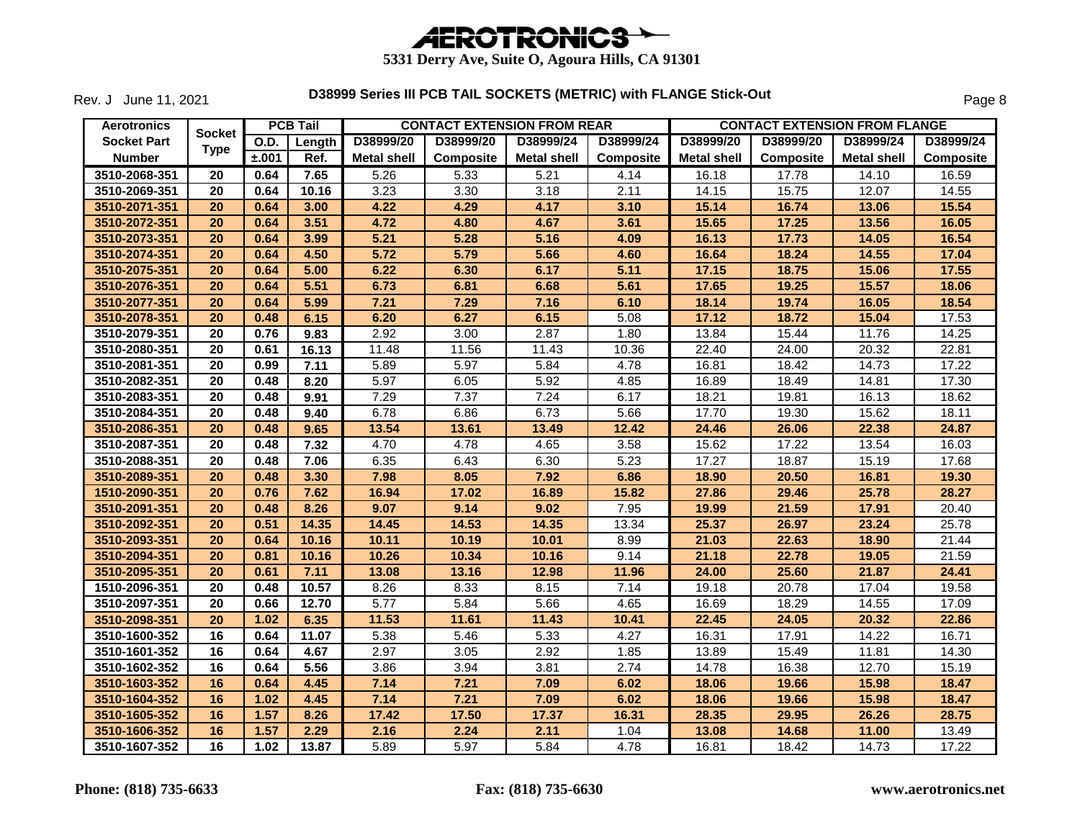

Rev. J June 11, 2021

| <b>Aerotronics</b> |               |             | <b>PCB Tail</b> |                    |           | <b>CONTACT EXTENSION FROM REAR</b> |                  |                    | <b>CONTACT EXTENSION FROM FLANGE</b> |                    |                  |
|--------------------|---------------|-------------|-----------------|--------------------|-----------|------------------------------------|------------------|--------------------|--------------------------------------|--------------------|------------------|
| <b>Socket Part</b> | <b>Socket</b> | <b>O.D.</b> | Length          | D38999/20          | D38999/20 | D38999/24                          | D38999/24        | D38999/20          | D38999/20                            | D38999/24          | D38999/24        |
| <b>Number</b>      | <b>Type</b>   | ±.001       | Ref.            | <b>Metal shell</b> | Composite | Metal shell                        | <b>Composite</b> | <b>Metal shell</b> | <b>Composite</b>                     | <b>Metal shell</b> | <b>Composite</b> |
| 3510-2068-351      | 20            | 0.64        | 7.65            | 5.26               | 5.33      | 5.21                               | 4.14             | 16.18              | 17.78                                | 14.10              | 16.59            |
| 3510-2069-351      | 20            | 0.64        | 10.16           | 3.23               | 3.30      | 3.18                               | 2.11             | 14.15              | 15.75                                | 12.07              | 14.55            |
| 3510-2071-351      | 20            | 0.64        | 3.00            | 4.22               | 4.29      | 4.17                               | 3.10             | 15.14              | 16.74                                | 13.06              | 15.54            |
| 3510-2072-351      | 20            | 0.64        | 3.51            | 4.72               | 4.80      | 4.67                               | 3.61             | 15.65              | 17.25                                | 13.56              | 16.05            |
| 3510-2073-351      | 20            | 0.64        | 3.99            | 5.21               | 5.28      | 5.16                               | 4.09             | 16.13              | 17.73                                | 14.05              | 16.54            |
| 3510-2074-351      | 20            | 0.64        | 4.50            | 5.72               | 5.79      | 5.66                               | 4.60             | 16.64              | 18.24                                | 14.55              | 17.04            |
| 3510-2075-351      | 20            | 0.64        | 5.00            | 6.22               | 6.30      | 6.17                               | 5.11             | 17.15              | 18.75                                | 15.06              | 17.55            |
| 3510-2076-351      | 20            | 0.64        | 5.51            | 6.73               | 6.81      | 6.68                               | 5.61             | 17.65              | 19.25                                | 15.57              | 18.06            |
| 3510-2077-351      | 20            | 0.64        | 5.99            | 7.21               | 7.29      | 7.16                               | 6.10             | 18.14              | 19.74                                | 16.05              | 18.54            |
| 3510-2078-351      | 20            | 0.48        | 6.15            | 6.20               | 6.27      | 6.15                               | 5.08             | 17.12              | 18.72                                | 15.04              | 17.53            |
| 3510-2079-351      | 20            | 0.76        | 9.83            | 2.92               | 3.00      | 2.87                               | 1.80             | 13.84              | 15.44                                | 11.76              | 14.25            |
| 3510-2080-351      | 20            | 0.61        | 16.13           | 11.48              | 11.56     | 11.43                              | 10.36            | 22.40              | 24.00                                | 20.32              | 22.81            |
| 3510-2081-351      | 20            | 0.99        | 7.11            | 5.89               | 5.97      | 5.84                               | 4.78             | 16.81              | 18.42                                | 14.73              | 17.22            |
| 3510-2082-351      | 20            | 0.48        | 8.20            | 5.97               | 6.05      | 5.92                               | 4.85             | 16.89              | 18.49                                | 14.81              | 17.30            |
| 3510-2083-351      | 20            | 0.48        | 9.91            | 7.29               | 7.37      | 7.24                               | 6.17             | 18.21              | 19.81                                | 16.13              | 18.62            |
| 3510-2084-351      | 20            | 0.48        | 9.40            | 6.78               | 6.86      | 6.73                               | 5.66             | 17.70              | 19.30                                | 15.62              | 18.11            |
| 3510-2086-351      | 20            | 0.48        | 9.65            | 13.54              | 13.61     | 13.49                              | 12.42            | 24.46              | 26.06                                | 22.38              | 24.87            |
| 3510-2087-351      | 20            | 0.48        | 7.32            | 4.70               | 4.78      | 4.65                               | 3.58             | 15.62              | 17.22                                | 13.54              | 16.03            |
| 3510-2088-351      | 20            | 0.48        | 7.06            | 6.35               | 6.43      | 6.30                               | 5.23             | 17.27              | 18.87                                | 15.19              | 17.68            |
| 3510-2089-351      | 20            | 0.48        | 3.30            | 7.98               | 8.05      | 7.92                               | 6.86             | 18.90              | 20.50                                | 16.81              | 19.30            |
| 1510-2090-351      | 20            | 0.76        | 7.62            | 16.94              | 17.02     | 16.89                              | 15.82            | 27.86              | 29.46                                | 25.78              | 28.27            |
| 3510-2091-351      | 20            | 0.48        | 8.26            | 9.07               | 9.14      | 9.02                               | 7.95             | 19.99              | 21.59                                | 17.91              | 20.40            |
| 3510-2092-351      | 20            | 0.51        | 14.35           | 14.45              | 14.53     | 14.35                              | 13.34            | 25.37              | 26.97                                | 23.24              | 25.78            |
| 3510-2093-351      | 20            | 0.64        | 10.16           | 10.11              | 10.19     | 10.01                              | 8.99             | 21.03              | 22.63                                | 18.90              | 21.44            |
| 3510-2094-351      | 20            | 0.81        | 10.16           | 10.26              | 10.34     | 10.16                              | 9.14             | 21.18              | 22.78                                | 19.05              | 21.59            |
| 3510-2095-351      | 20            | 0.61        | 7.11            | 13.08              | 13.16     | 12.98                              | 11.96            | 24.00              | 25.60                                | 21.87              | 24.41            |
| 1510-2096-351      | 20            | 0.48        | 10.57           | 8.26               | 8.33      | 8.15                               | 7.14             | 19.18              | 20.78                                | 17.04              | 19.58            |
| 3510-2097-351      | 20            | 0.66        | 12.70           | 5.77               | 5.84      | 5.66                               | 4.65             | 16.69              | 18.29                                | 14.55              | 17.09            |
| 3510-2098-351      | 20            | 1.02        | 6.35            | 11.53              | 11.61     | 11.43                              | 10.41            | 22.45              | 24.05                                | 20.32              | 22.86            |
| 3510-1600-352      | 16            | 0.64        | 11.07           | 5.38               | 5.46      | 5.33                               | 4.27             | 16.31              | 17.91                                | 14.22              | 16.71            |
| 3510-1601-352      | 16            | 0.64        | 4.67            | 2.97               | 3.05      | 2.92                               | 1.85             | 13.89              | 15.49                                | 11.81              | 14.30            |
| 3510-1602-352      | 16            | 0.64        | 5.56            | 3.86               | 3.94      | 3.81                               | 2.74             | 14.78              | 16.38                                | 12.70              | 15.19            |
| 3510-1603-352      | 16            | 0.64        | 4.45            | 7.14               | 7.21      | 7.09                               | 6.02             | 18.06              | 19.66                                | 15.98              | 18.47            |
| 3510-1604-352      | 16            | 1.02        | 4.45            | 7.14               | 7.21      | 7.09                               | 6.02             | 18.06              | 19.66                                | 15.98              | 18.47            |
| 3510-1605-352      | 16            | 1.57        | 8.26            | 17.42              | 17.50     | 17.37                              | 16.31            | 28.35              | 29.95                                | 26.26              | 28.75            |
| 3510-1606-352      | 16            | 1.57        | 2.29            | 2.16               | 2.24      | 2.11                               | 1.04             | 13.08              | 14.68                                | 11.00              | 13.49            |
| 3510-1607-352      | 16            | 1.02        | 13.87           | 5.89               | 5.97      | 5.84                               | 4.78             | 16.81              | 18.42                                | 14.73              | 17.22            |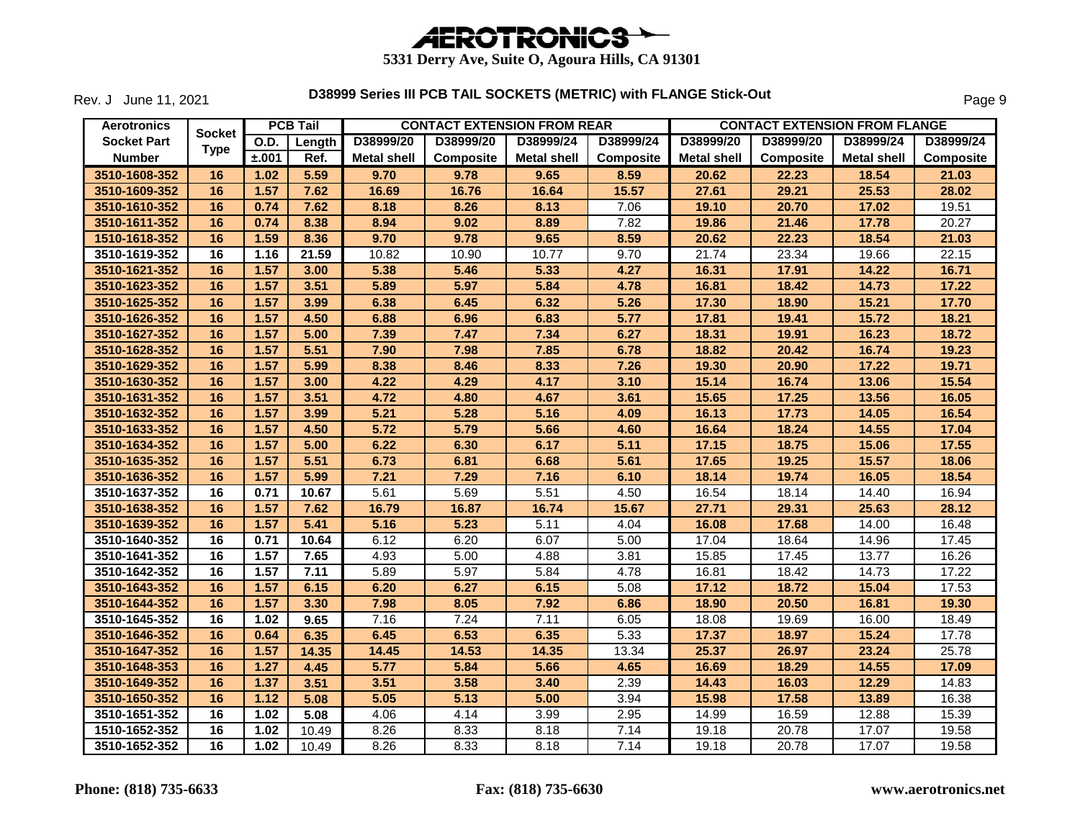

Rev. J June 11, 2021

| <b>Aerotronics</b> |               |       | <b>PCB Tail</b> |                    |           | <b>CONTACT EXTENSION FROM REAR</b> |                  |                    | <b>CONTACT EXTENSION FROM FLANGE</b> |                    |                  |
|--------------------|---------------|-------|-----------------|--------------------|-----------|------------------------------------|------------------|--------------------|--------------------------------------|--------------------|------------------|
| <b>Socket Part</b> | <b>Socket</b> | O.D.  | Length          | D38999/20          | D38999/20 | D38999/24                          | D38999/24        | D38999/20          | D38999/20                            | D38999/24          | D38999/24        |
| <b>Number</b>      | <b>Type</b>   | ±.001 | Ref.            | <b>Metal shell</b> | Composite | <b>Metal shell</b>                 | <b>Composite</b> | <b>Metal shell</b> | <b>Composite</b>                     | <b>Metal shell</b> | <b>Composite</b> |
| 3510-1608-352      | 16            | 1.02  | 5.59            | 9.70               | 9.78      | 9.65                               | 8.59             | 20.62              | 22.23                                | 18.54              | 21.03            |
| 3510-1609-352      | 16            | 1.57  | 7.62            | 16.69              | 16.76     | 16.64                              | 15.57            | 27.61              | 29.21                                | 25.53              | 28.02            |
| 3510-1610-352      | 16            | 0.74  | 7.62            | 8.18               | 8.26      | 8.13                               | 7.06             | 19.10              | 20.70                                | 17.02              | 19.51            |
| 3510-1611-352      | 16            | 0.74  | 8.38            | 8.94               | 9.02      | 8.89                               | 7.82             | 19.86              | 21.46                                | 17.78              | 20.27            |
| 1510-1618-352      | 16            | 1.59  | 8.36            | 9.70               | 9.78      | 9.65                               | 8.59             | 20.62              | 22.23                                | 18.54              | 21.03            |
| 3510-1619-352      | 16            | 1.16  | 21.59           | 10.82              | 10.90     | 10.77                              | 9.70             | 21.74              | 23.34                                | 19.66              | 22.15            |
| 3510-1621-352      | 16            | 1.57  | 3.00            | 5.38               | 5.46      | 5.33                               | 4.27             | 16.31              | 17.91                                | 14.22              | 16.71            |
| 3510-1623-352      | 16            | 1.57  | 3.51            | 5.89               | 5.97      | 5.84                               | 4.78             | 16.81              | 18.42                                | 14.73              | 17.22            |
| 3510-1625-352      | 16            | 1.57  | 3.99            | 6.38               | 6.45      | 6.32                               | 5.26             | 17.30              | 18.90                                | 15.21              | 17.70            |
| 3510-1626-352      | 16            | 1.57  | 4.50            | 6.88               | 6.96      | 6.83                               | 5.77             | 17.81              | 19.41                                | 15.72              | 18.21            |
| 3510-1627-352      | 16            | 1.57  | 5.00            | 7.39               | 7.47      | 7.34                               | 6.27             | 18.31              | 19.91                                | 16.23              | 18.72            |
| 3510-1628-352      | 16            | 1.57  | 5.51            | 7.90               | 7.98      | 7.85                               | 6.78             | 18.82              | 20.42                                | 16.74              | 19.23            |
| 3510-1629-352      | 16            | 1.57  | 5.99            | 8.38               | 8.46      | 8.33                               | 7.26             | 19.30              | 20.90                                | 17.22              | 19.71            |
| 3510-1630-352      | 16            | 1.57  | 3.00            | 4.22               | 4.29      | 4.17                               | 3.10             | 15.14              | 16.74                                | 13.06              | 15.54            |
| 3510-1631-352      | 16            | 1.57  | 3.51            | 4.72               | 4.80      | 4.67                               | 3.61             | 15.65              | 17.25                                | 13.56              | 16.05            |
| 3510-1632-352      | 16            | 1.57  | 3.99            | 5.21               | 5.28      | 5.16                               | 4.09             | 16.13              | 17.73                                | 14.05              | 16.54            |
| 3510-1633-352      | 16            | 1.57  | 4.50            | 5.72               | 5.79      | 5.66                               | 4.60             | 16.64              | 18.24                                | 14.55              | 17.04            |
| 3510-1634-352      | 16            | 1.57  | 5.00            | 6.22               | 6.30      | 6.17                               | 5.11             | 17.15              | 18.75                                | 15.06              | 17.55            |
| 3510-1635-352      | 16            | 1.57  | 5.51            | 6.73               | 6.81      | 6.68                               | 5.61             | 17.65              | 19.25                                | 15.57              | 18.06            |
| 3510-1636-352      | 16            | 1.57  | 5.99            | 7.21               | 7.29      | 7.16                               | 6.10             | 18.14              | 19.74                                | 16.05              | 18.54            |
| 3510-1637-352      | 16            | 0.71  | 10.67           | 5.61               | 5.69      | 5.51                               | 4.50             | 16.54              | 18.14                                | 14.40              | 16.94            |
| 3510-1638-352      | 16            | 1.57  | 7.62            | 16.79              | 16.87     | 16.74                              | 15.67            | 27.71              | 29.31                                | 25.63              | 28.12            |
| 3510-1639-352      | 16            | 1.57  | 5.41            | 5.16               | 5.23      | 5.11                               | 4.04             | 16.08              | 17.68                                | 14.00              | 16.48            |
| 3510-1640-352      | 16            | 0.71  | 10.64           | 6.12               | 6.20      | 6.07                               | 5.00             | 17.04              | 18.64                                | 14.96              | 17.45            |
| 3510-1641-352      | 16            | 1.57  | 7.65            | 4.93               | 5.00      | 4.88                               | 3.81             | 15.85              | 17.45                                | 13.77              | 16.26            |
| 3510-1642-352      | 16            | 1.57  | 7.11            | 5.89               | 5.97      | 5.84                               | 4.78             | 16.81              | 18.42                                | 14.73              | 17.22            |
| 3510-1643-352      | 16            | 1.57  | 6.15            | 6.20               | 6.27      | 6.15                               | 5.08             | 17.12              | 18.72                                | 15.04              | 17.53            |
| 3510-1644-352      | 16            | 1.57  | 3.30            | 7.98               | 8.05      | 7.92                               | 6.86             | 18.90              | 20.50                                | 16.81              | 19.30            |
| 3510-1645-352      | 16            | 1.02  | 9.65            | 7.16               | 7.24      | 7.11                               | 6.05             | 18.08              | 19.69                                | 16.00              | 18.49            |
| 3510-1646-352      | 16            | 0.64  | 6.35            | 6.45               | 6.53      | 6.35                               | 5.33             | 17.37              | 18.97                                | 15.24              | 17.78            |
| 3510-1647-352      | 16            | 1.57  | 14.35           | 14.45              | 14.53     | 14.35                              | 13.34            | 25.37              | 26.97                                | 23.24              | 25.78            |
| 3510-1648-353      | 16            | 1.27  | 4.45            | 5.77               | 5.84      | 5.66                               | 4.65             | 16.69              | 18.29                                | 14.55              | 17.09            |
| 3510-1649-352      | 16            | 1.37  | 3.51            | 3.51               | 3.58      | 3.40                               | 2.39             | 14.43              | 16.03                                | 12.29              | 14.83            |
| 3510-1650-352      | 16            | 1.12  | 5.08            | 5.05               | 5.13      | 5.00                               | 3.94             | 15.98              | 17.58                                | 13.89              | 16.38            |
| 3510-1651-352      | 16            | 1.02  | 5.08            | 4.06               | 4.14      | 3.99                               | 2.95             | 14.99              | 16.59                                | 12.88              | 15.39            |
| 1510-1652-352      | 16            | 1.02  | 10.49           | 8.26               | 8.33      | 8.18                               | 7.14             | 19.18              | 20.78                                | 17.07              | 19.58            |
| 3510-1652-352      | 16            | 1.02  | 10.49           | 8.26               | 8.33      | 8.18                               | 7.14             | 19.18              | 20.78                                | 17.07              | 19.58            |